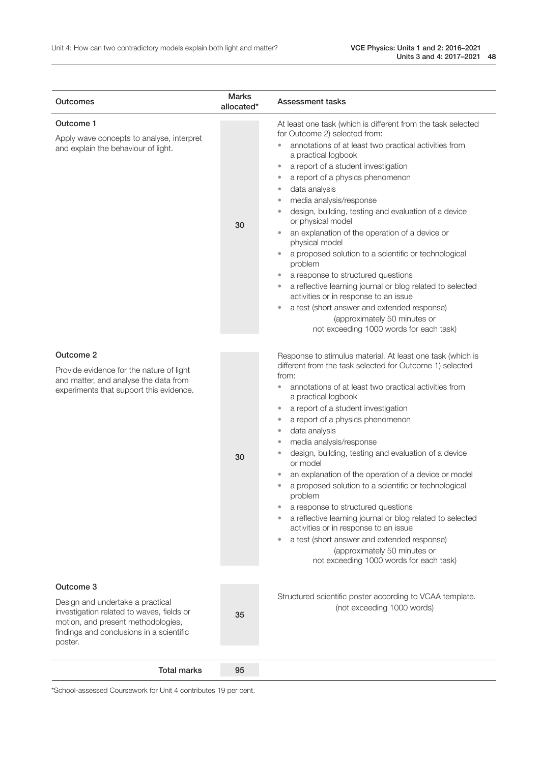| Outcomes                                                                                                                                                                                | <b>Marks</b><br>allocated* | Assessment tasks                                                                                                                                                                                                                                                                                                                                                                                                                                                                                                                                                                                                                                                                                                                                                                                                                                                                                                                                                          |
|-----------------------------------------------------------------------------------------------------------------------------------------------------------------------------------------|----------------------------|---------------------------------------------------------------------------------------------------------------------------------------------------------------------------------------------------------------------------------------------------------------------------------------------------------------------------------------------------------------------------------------------------------------------------------------------------------------------------------------------------------------------------------------------------------------------------------------------------------------------------------------------------------------------------------------------------------------------------------------------------------------------------------------------------------------------------------------------------------------------------------------------------------------------------------------------------------------------------|
| Outcome 1<br>Apply wave concepts to analyse, interpret<br>and explain the behaviour of light.                                                                                           | 30                         | At least one task (which is different from the task selected<br>for Outcome 2) selected from:<br>annotations of at least two practical activities from<br>$\qquad \qquad \bullet$<br>a practical logbook<br>a report of a student investigation<br>$\bullet$<br>a report of a physics phenomenon<br>$\bullet$<br>data analysis<br>$\bullet$<br>media analysis/response<br>$\bullet$<br>design, building, testing and evaluation of a device<br>$\qquad \qquad \bullet$<br>or physical model<br>an explanation of the operation of a device or<br>$\bullet$<br>physical model<br>a proposed solution to a scientific or technological<br>$\bullet$<br>problem<br>a response to structured questions<br>$\bullet$<br>a reflective learning journal or blog related to selected<br>$\bullet$<br>activities or in response to an issue<br>a test (short answer and extended response)<br>$\bullet$<br>(approximately 50 minutes or<br>not exceeding 1000 words for each task) |
| Outcome 2<br>Provide evidence for the nature of light<br>and matter, and analyse the data from<br>experiments that support this evidence.                                               | 30                         | Response to stimulus material. At least one task (which is<br>different from the task selected for Outcome 1) selected<br>from:<br>annotations of at least two practical activities from<br>۰<br>a practical logbook<br>a report of a student investigation<br>$\bullet$<br>a report of a physics phenomenon<br>$\bullet$<br>data analysis<br>$\bullet$<br>media analysis/response<br>$\bullet$<br>design, building, testing and evaluation of a device<br>$\qquad \qquad \bullet$<br>or model<br>an explanation of the operation of a device or model<br>a proposed solution to a scientific or technological<br>problem<br>a response to structured questions<br>۰<br>a reflective learning journal or blog related to selected<br>activities or in response to an issue<br>a test (short answer and extended response)<br>$\bullet$<br>(approximately 50 minutes or<br>not exceeding 1000 words for each task)                                                         |
| Outcome 3<br>Design and undertake a practical<br>investigation related to waves, fields or<br>motion, and present methodologies,<br>findings and conclusions in a scientific<br>poster. | 35                         | Structured scientific poster according to VCAA template.<br>(not exceeding 1000 words)                                                                                                                                                                                                                                                                                                                                                                                                                                                                                                                                                                                                                                                                                                                                                                                                                                                                                    |
| <b>Total marks</b>                                                                                                                                                                      | 95                         |                                                                                                                                                                                                                                                                                                                                                                                                                                                                                                                                                                                                                                                                                                                                                                                                                                                                                                                                                                           |

\*School-assessed Coursework for Unit 4 contributes 19 per cent.